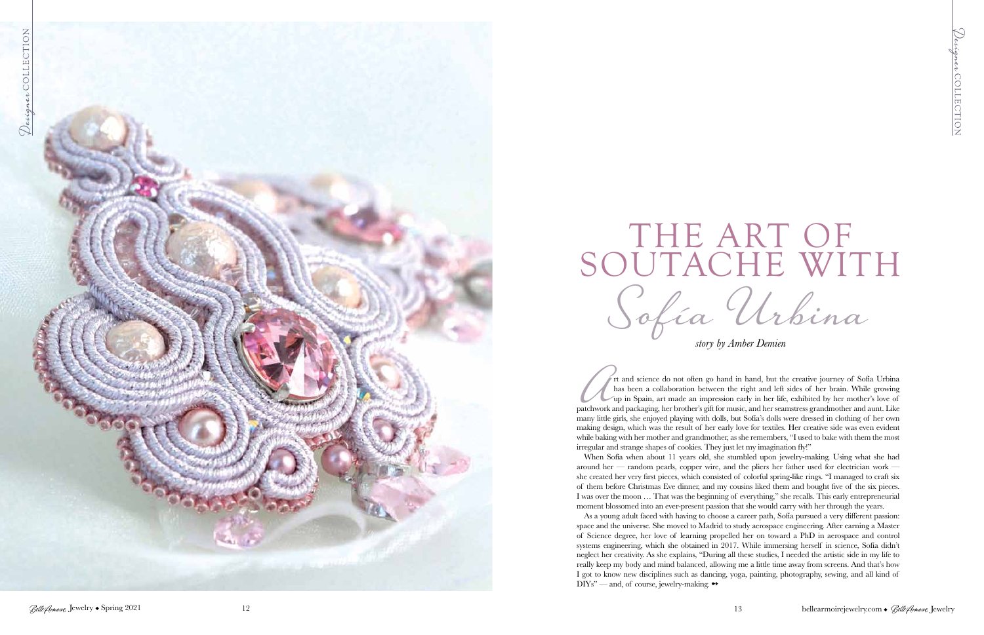

*story by Amber Demien*



## Sofía Urbina

has been a collaboration between the right and left sides of her brain. While growing up in Spain, art made an impression early in her life, exhibited by her mother's love of patchwork and packaging, her brother's gift for music, and her seamstress grandmother and aunt. Like many little girls, she enjoyed playing with dolls, but Sofía's dolls were dressed in clothing of her own making design, which was the result of her early love for textiles. Her creative side was even evident while baking with her mother and grandmother, as she remembers, "I used to bake with them the most irregular and strange shapes of cookies. They just let my imagination fly!"

As a young adult faced with having to choose a career path, Sofía pursued a very different passion: space and the universe. She moved to Madrid to study aerospace engineering. After earning a Master of Science degree, her love of learning propelled her on toward a PhD in aerospace and control systems engineering, which she obtained in 2017. While immersing herself in science, Sofía didn't neglect her creativity. As she explains, "During all these studies, I needed the artistic side in my life to really keep my body and mind balanced, allowing me a little time away from screens. And that's how I got to know new disciplines such as dancing, yoga, painting, photography, sewing, and all kind of DIYs" — and, of course, jewelry-making.  $\rightarrow$ 

When Sofía when about 11 years old, she stumbled upon jewelry-making. Using what she had around her — random pearls, copper wire, and the pliers her father used for electrician work she created her very first pieces, which consisted of colorful spring-like rings. "I managed to craft six of them before Christmas Eve dinner, and my cousins liked them and bought five of the six pieces. I was over the moon … That was the beginning of everything," she recalls. This early entrepreneurial moment blossomed into an ever-present passion that she would carry with her through the years.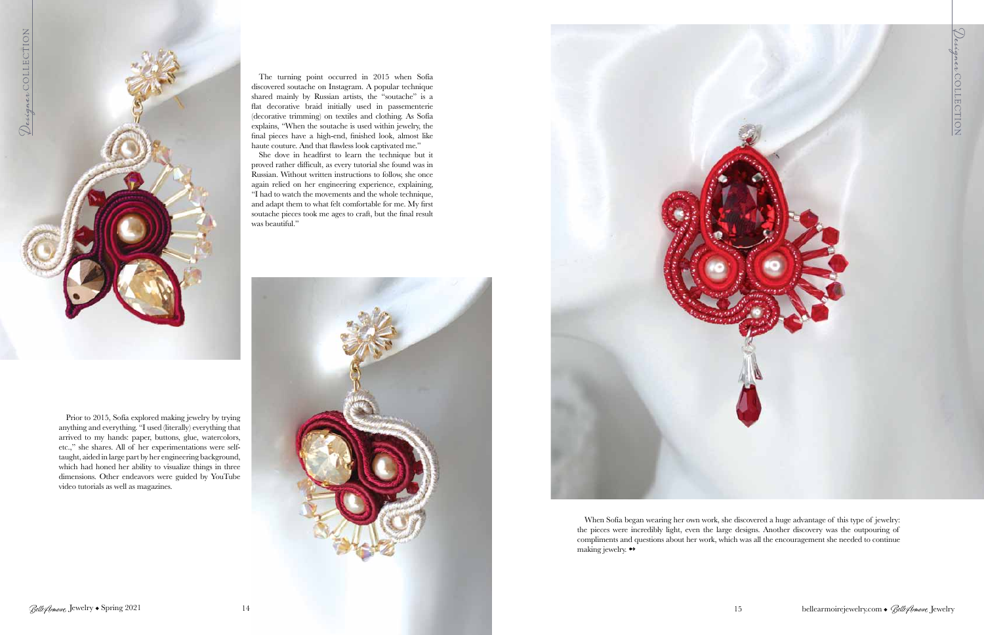

Prior to 2015, Sofía explored making jewelry by trying anything and everything. "I used (literally) everything that arrived to my hands: paper, buttons, glue, watercolors, etc.," she shares. All of her experimentations were selftaught, aided in large part by her engineering background, which had honed her ability to visualize things in three dimensions. Other endeavors were guided by YouTube video tutorials as well as magazines.

> When Sofía began wearing her own work, she discovered a huge advantage of this type of jewelry: the pieces were incredibly light, even the large designs. Another discovery was the outpouring of compliments and questions about her work, which was all the encouragement she needed to continue making jewelry.  $\leftrightarrow$

The turning point occurred in 2015 when Sofía discovered soutache on Instagram. A popular technique shared mainly by Russian artists, the "soutache" is a flat decorative braid initially used in passementerie (decorative trimming) on textiles and clothing. As Sofía explains, "When the soutache is used within jewelry, the final pieces have a high-end, finished look, almost like haute couture. And that flawless look captivated me."

She dove in headfirst to learn the technique but it proved rather difficult, as every tutorial she found was in Russian. Without written instructions to follow, she once again relied on her engineering experience, explaining, "I had to watch the movements and the whole technique, and adapt them to what felt comfortable for me. My first soutache pieces took me ages to craft, but the final result was beautiful."



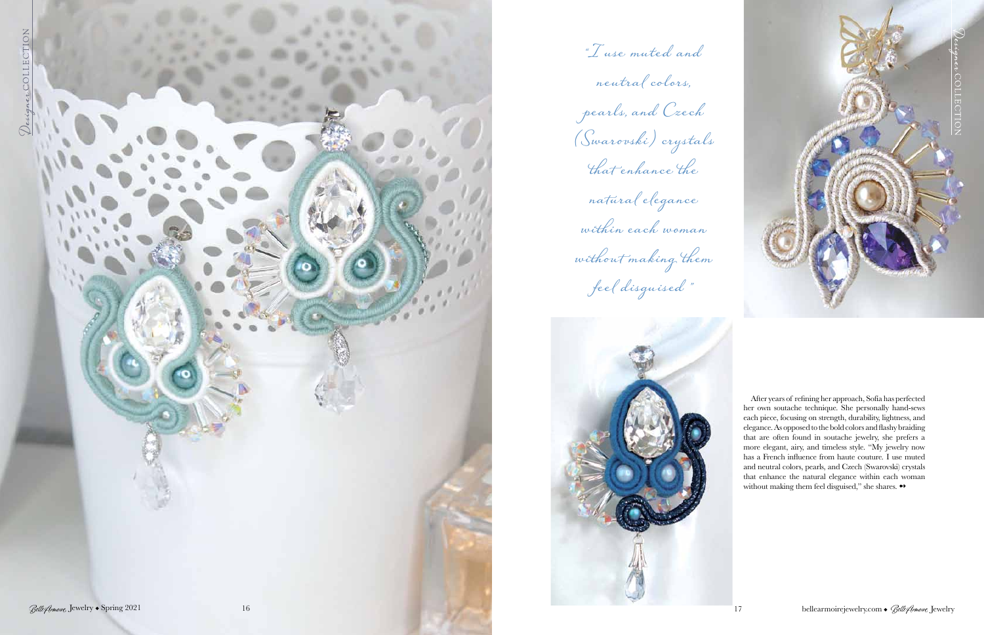

"I use muted and





After years of refining her approach, Sofía has perfected her own soutache technique. She personally hand-sews each piece, focusing on strength, durability, lightness, and elegance. As opposed to the bold colors and flashy braiding that are often found in soutache jewelry, she prefers a more elegant, airy, and timeless style. "My jewelry now has a French influence from haute couture*.* I use muted and neutral colors, pearls, and Czech (Swarovski) crystals that enhance the natural elegance within each woman without making them feel disguised," she shares.  $\rightarrow$ 

neutral colors, pearls, and Czech (Swarovski) crystals that enhance the natural elegance within each woman without making them feel disguised "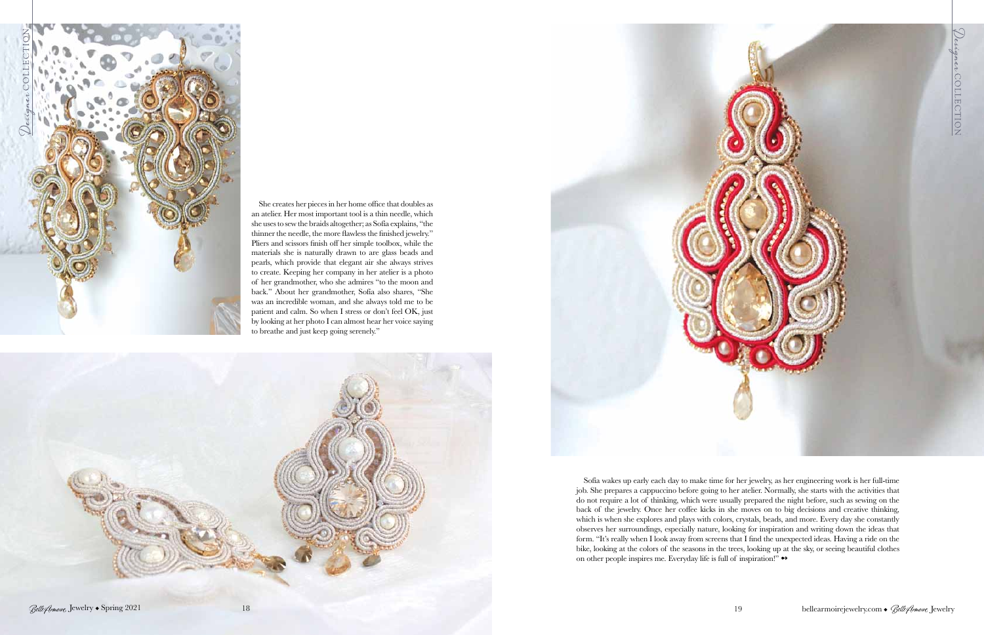



Sofía wakes up early each day to make time for her jewelry, as her engineering work is her full-time job. She prepares a cappuccino before going to her atelier. Normally, she starts with the activities that do not require a lot of thinking, which were usually prepared the night before, such as sewing on the back of the jewelry. Once her coffee kicks in she moves on to big decisions and creative thinking, which is when she explores and plays with colors, crystals, beads, and more. Every day she constantly observes her surroundings, especially nature, looking for inspiration and writing down the ideas that form. "It's really when I look away from screens that I find the unexpected ideas. Having a ride on the bike, looking at the colors of the seasons in the trees, looking up at the sky, or seeing beautiful clothes on other people inspires me. Everyday life is full of inspiration!" ↔



She creates her pieces in her home office that doubles as an atelier. Her most important tool is a thin needle, which she uses to sew the braids altogether; as Sofía explains, "the thinner the needle, the more flawless the finished jewelry." Pliers and scissors finish off her simple toolbox, while the materials she is naturally drawn to are glass beads and pearls, which provide that elegant air she always strives to create. Keeping her company in her atelier is a photo of her grandmother, who she admires "to the moon and back." About her grandmother, Sofía also shares, "She was an incredible woman, and she always told me to be patient and calm. So when I stress or don't feel OK, just by looking at her photo I can almost hear her voice saying to breathe and just keep going serenely."